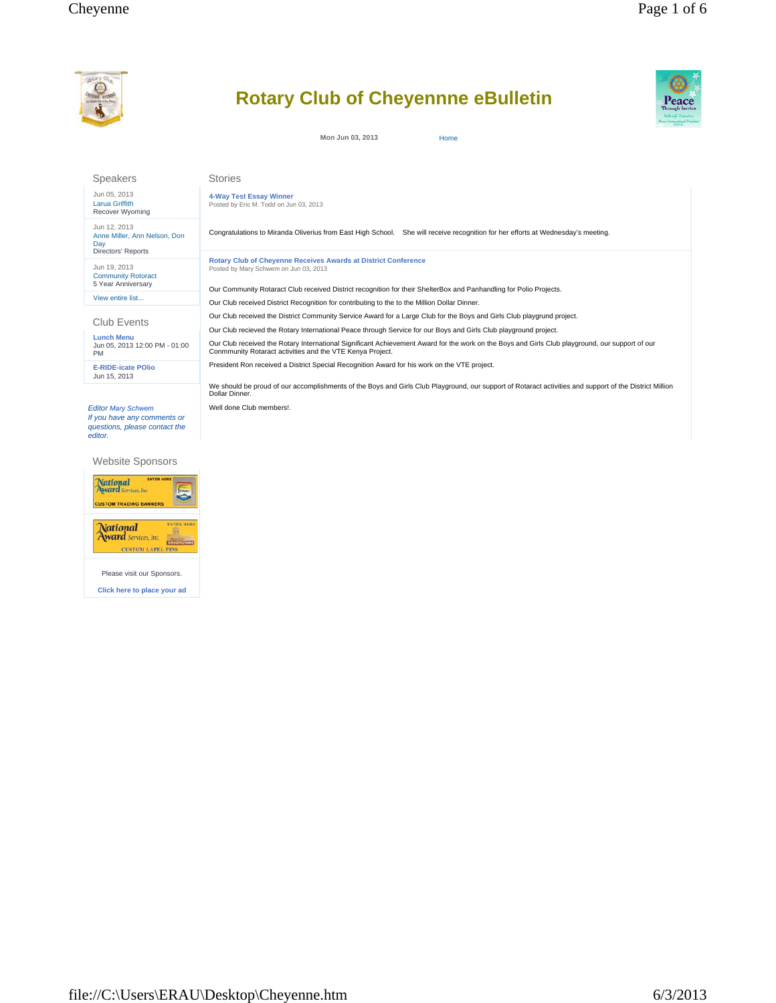

# **Rotary Club of Cheyennne eBulletin**

**Mon Jun 03, 2013** Home



Speakers

Jun 05, 2013 Larua Griffith Recover Wyoming

Jun 12, 2013 Anne Miller, Ann Nelson, Don Day Directors' Reports

Jun 19, 2013 Community Rotoract 5 Year Anniversary View entire list...

Club Events

**Lunch Menu** Jun 05, 2013 12:00 PM - 01:00 PM

**E-RIDE-icate POlio** Jun 15, 2013

*Editor Mary Schwem If you have any comments or questions, please contact the editor.* 

Website Sponsors





Please visit our Sponsors. **Click here to place your ad** **4-Way Test Essay Winner** Posted by Eric M. Todd on Jun 03, 2013

Stories

Congratulations to Miranda Oliverius from East High School. She will receive recognition for her efforts at Wednesday's meeting.

**Rotary Club of Cheyenne Receives Awards at District Conference** Posted by Mary Schwem on Jun 03, 2013

Our Community Rotaract Club received District recognition for their ShelterBox and Panhandling for Polio Projects.

Our Club received District Recognition for contributing to the to the Million Dollar Dinner.

Our Club received the District Community Service Award for a Large Club for the Boys and Girls Club playgrund project.

Our Club recieved the Rotary International Peace through Service for our Boys and Girls Club playground project.

Our Club received the Rotary International Significant Achievement Award for the work on the Boys and Girls Club playground, our support of our Conmmunity Rotaract activities and the VTE Kenya Project.

President Ron received a District Special Recognition Award for his work on the VTE project.

We should be proud of our accomplishments of the Boys and Girls Club Playground, our support of Rotaract activities and support of the District Million Dollar Dinner.

Well done Club members!.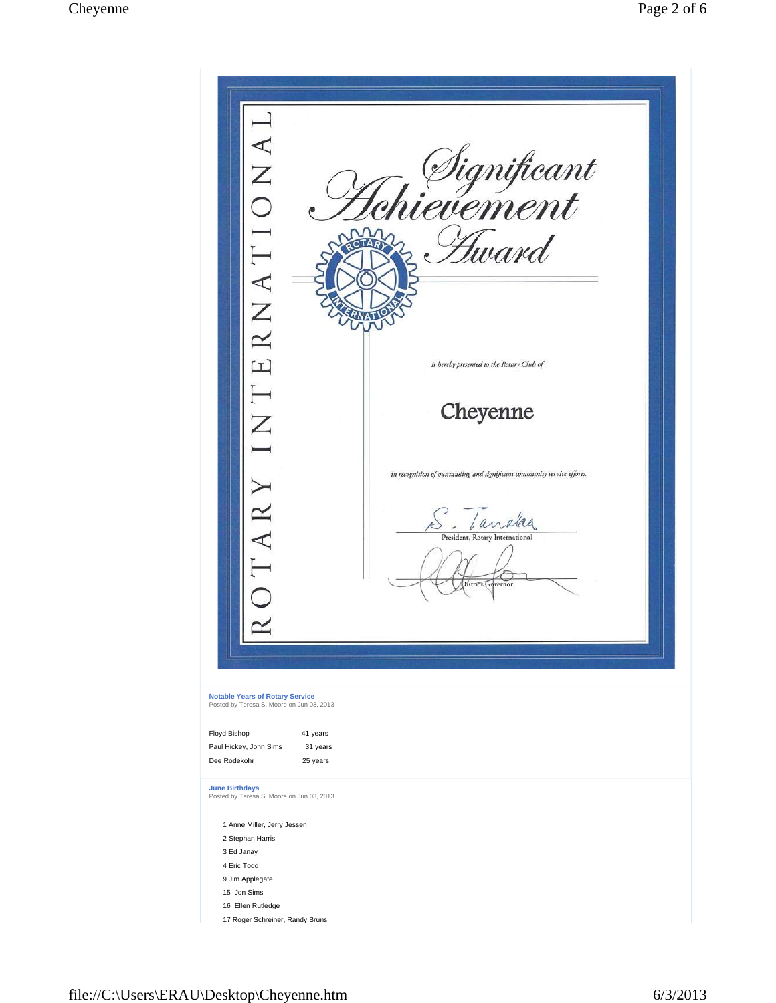$\perp$ ERNATIONA . *Significant*<br>rievement Hward OTARY is hereby presented to the Rotary Club of  $\overline{\phantom{a}}$ Cheyenne  $\sum$ in recognition of outstanding and significant community service efforts. OTARY S Janaka District G  $\approx$ **Notable Years of Rotary Service** Posted by Teresa S. Moore on Jun 03, 2013 Floyd Bishop 41 years Paul Hickey, John Sims 31 years Dee Rodekohr 25 years **June Birthdays** Posted by Teresa S. Moore on Jun 03, 2013 1 Anne Miller, Jerry Jessen 2 Stephan Harris 3 Ed Janay 4 Eric Todd 9 Jim Applegate 15 Jon Sims 16 Ellen Rutledge 17 Roger Schreiner, Randy Bruns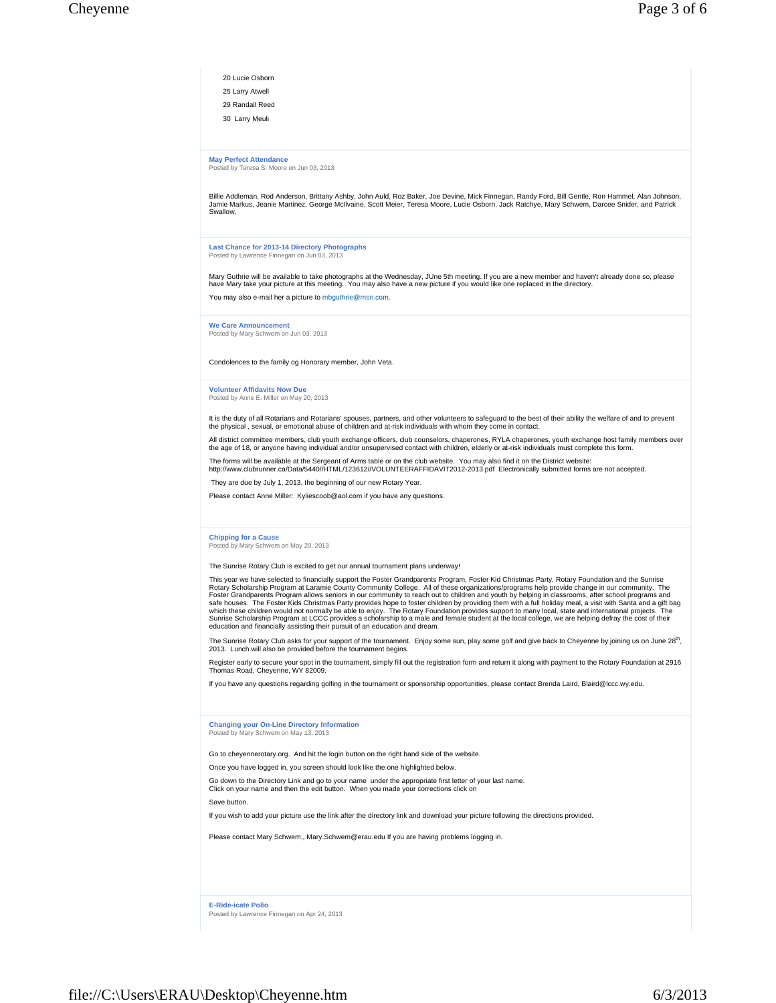| 20 Lucie Osborn |
|-----------------|
| 25 Larry Atwell |
| 29 Randall Reed |
| 30 Larry Meuli  |

**May Perfect Attendance** Posted by Teresa S. Moore on Jun 03, 2013

Billie Addleman, Rod Anderson, Brittany Ashby, John Auld, Roz Baker, Joe Devine, Mick Finnegan, Randy Ford, Bill Gentle, Ron Hammel, Alan Johnson,<br>Jamie Markus, Jeanie Martinez, George McIlvaine, Scott Meier, Teresa Moore, Swallow.

**Last Chance for 2013-14 Directory Photographs**

Posted by Lawrence Finnegan on Jun 03, 2013

Mary Guthrie will be available to take photographs at the Wednesday, JUne 5th meeting. If you are a new member and haven't already done so, please<br>have Mary take your picture at this meeting. You may also have a new pictur

You may also e-mail her a picture to mbguthrie@msn.com.

**We Care Announcement** Posted by Mary Schwem on Jun 03, 2013

Condolences to the family og Honorary member, John Veta.

### **Volunteer Affidavits Now Due** Posted by Anne E. Miller on May 20, 2013

It is the duty of all Rotarians and Rotarians' spouses, partners, and other volunteers to safeguard to the best of their ability the welfare of and to prevent<br>the physical , sexual, or emotional abuse of children and at-ri

All district committee members, club youth exchange officers, club counselors, chaperones, RYLA chaperones, youth exchange host family members over<br>the age of 18, or anyone having individual and/or unsupervised contact wit

The forms will be available at the Sergeant of Arms table or on the club website. You may also find it on the District website:<br>http://www.clubrunner.ca/Data/5440//HTML/123612//VOLUNTEERAFFIDAVIT2012-2013.pdf Electronicall

They are due by July 1, 2013, the beginning of our new Rotary Year.

Please contact Anne Miller: Kyliescoob@aol.com if you have any questions.

### **Chipping for a Cause**

Posted by Mary Schwem on May 20, 2013

The Sunrise Rotary Club is excited to get our annual tournament plans underway!

This year we have selected to financially support the Foster Grandparents Program, Foster Kid Christmas Party, Rotary Foundation and the Sunrise<br>Rotary Scholarship Program at Laramie County Community College. All of these safe houses. The Foster Kids Christmas Party provides hope to foster children by providing them with a full holiday meal, a visit with Santa and a gift bag<br>which these children would not mally be able to enjoy. The Rotary education and financially assisting their pursuit of an education and dream.

The Sunrise Rotary Club asks for your support of the tournament. Enjoy some sun, play some golf and give back to Cheyenne by joining us on June 28<sup>th</sup>,<br>2013. Lunch will also be provided before the tournament begins.

Register early to secure your spot in the tournament, simply fill out the registration form and return it along with payment to the Rotary Foundation at 2916 Thomas Road, Cheyenne, WY 82009.

If you have any questions regarding golfing in the tournament or sponsorship opportunities, please contact Brenda Laird, Blaird@lccc.wy.edu.

# **Changing your On-Line Directory Information** Posted by Mary Schwem on May 13, 2013

Go to cheyennerotary.org. And hit the login button on the right hand side of the website.

Once you have logged in, you screen should look like the one highlighted below.

Go down to the Directory Link and go to your name under the appropriate first letter of your last name. Click on your name and then the edit button. When you made your corrections click on

Save button.

If you wish to add your picture use the link after the directory link and download your picture following the directions provided.

Please contact Mary Schwem,, Mary.Schwem@erau.edu If you are having problems logging in.

**E-Ride-icate Polio** Posted by Lawrence Finnegan on Apr 24, 2013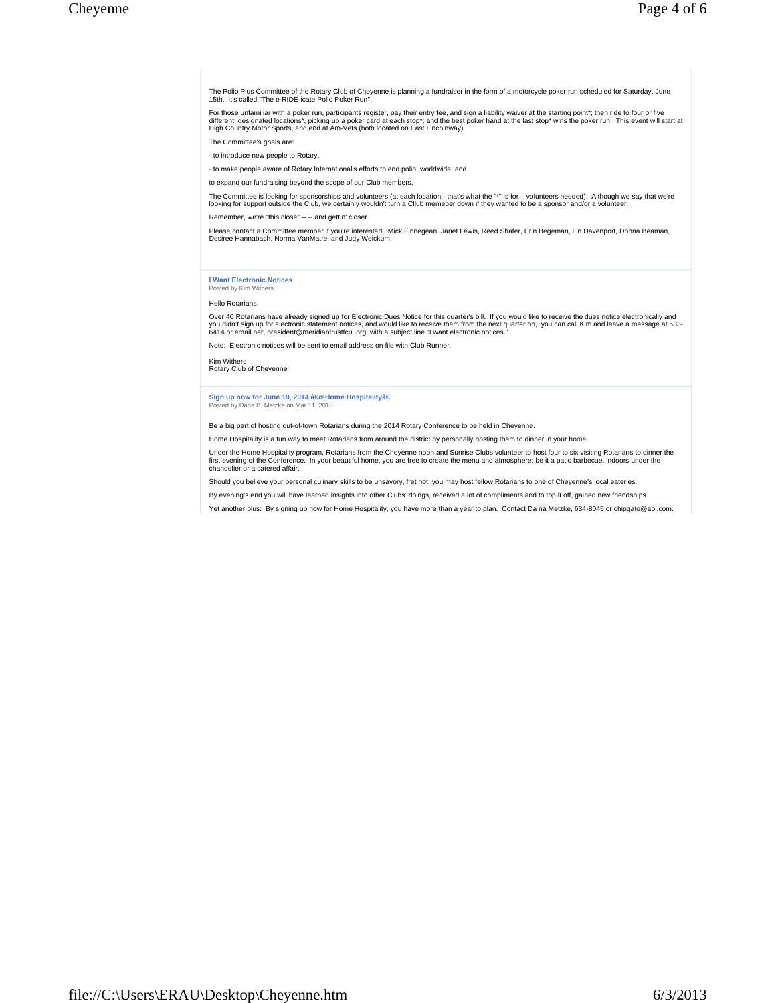The Polio Plus Committee of the Rotary Club of Cheyenne is planning a fundraiser in the form of a motorcycle poker run scheduled for Saturday, June 15th. It's called "The e-RIDE-icate Polio Poker Run".

For those unfamiliar with a poker run, participants register, pay their entry fee, and sign a liability waiver at the starting point\*; then ride to four or five<br>different, designated locations\*, picking up a poker card at

The Committee's goals are:

· to introduce new people to Rotary,

· to make people aware of Rotary International's efforts to end polio, worldwide, and

to expand our fundraising beyond the scope of our Club members.

The Committee is looking for sponsorships and volunteers (at each location - that's what the "\*" is for – volunteers needed). Although we say that we're<br>looking for support outside the Club, we certainly wouldn't turn a C

Remember, we're "this close" -- -- and gettin' closer.

Please contact a Committee member if you're interested: Mick Finnegean, Janet Lewis, Reed Shafer, Erin Begeman, Lin Davenport, Donna Beaman,<br>Desiree Hannabach, Norma VanMatre, and Judy Weickum.

### **I Want Electronic Notices** Posted by Kim Withers

### Hello Rotarians,

Over 40 Rotarians have already signed up for Electronic Dues Notice for this quarter's bill. If you would like to receive the dues notice electronically and<br>you didn't sign up for electronic statement notices, and would l

Note: Electronic notices will be sent to email address on file with Club Runner.

Kim Withers Rotary Club of Cheyenne

## Sign up now for June 19, 2014 **"Home Hospitalityâ€** Posted by Dana B. Metzke on Mar 11, 2013

Be a big part of hosting out-of-town Rotarians during the 2014 Rotary Conference to be held in Cheyenne.

Home Hospitality is a fun way to meet Rotarians from around the district by personally hosting them to dinner in your home.

Under the Home Hospitality program, Rotarians from the Cheyenne noon and Sunrise Clubs volunteer to host four to six visiting Rotarians to dinner the first evening of the Conference. In your beautiful home, you are free to create the menu and atmosphere; be it a patio barbecue, indoors under the chandelier or a catered affair.

Should you believe your personal culinary skills to be unsavory, fret not; you may host fellow Rotarians to one of Cheyenne's local eateries.

By evening's end you will have learned insights into other Clubs' doings, received a lot of compliments and to top it off, gained new friendships.

Yet another plus: By signing up now for Home Hospitality, you have more than a year to plan. Contact Da na Metzke, 634-8045 or chipgato@aol.com.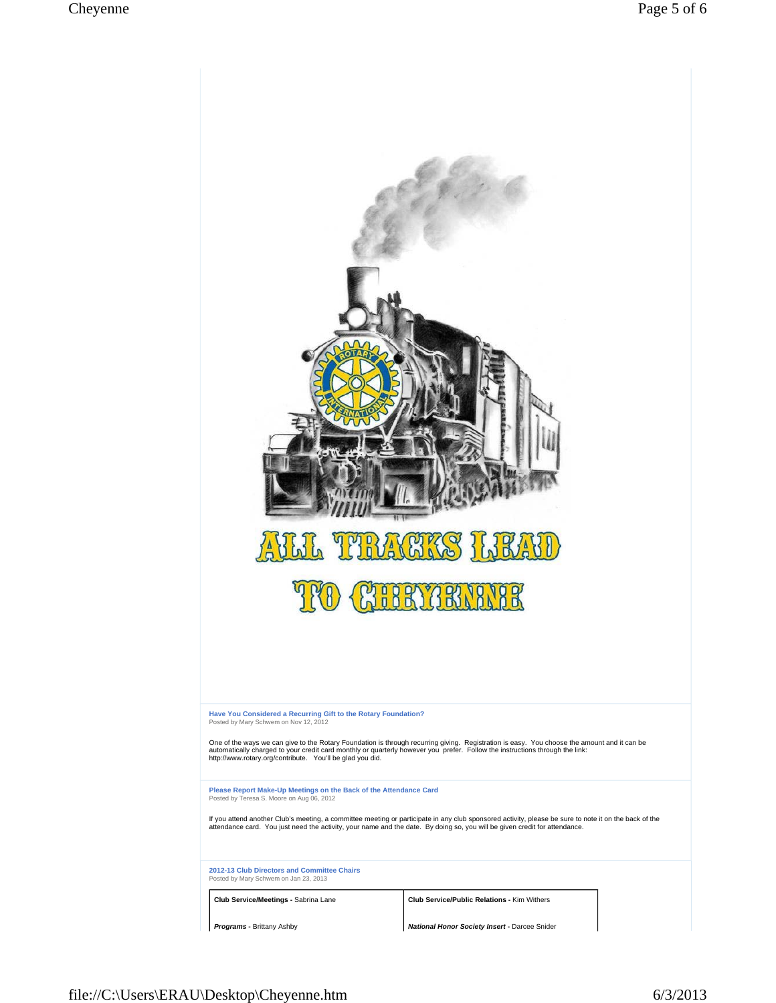